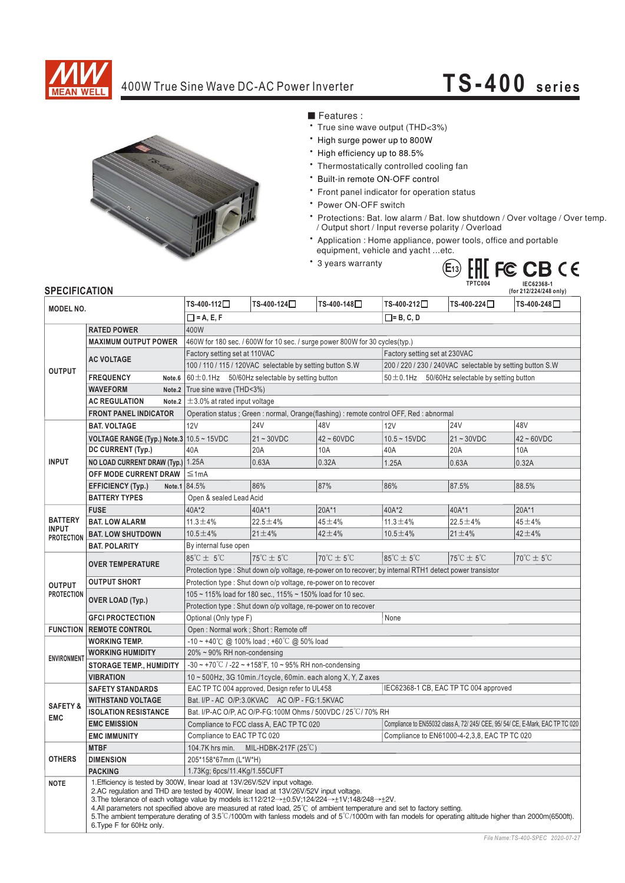

## 400W True Sine Wave DC-AC Power Inverter

## **TS-400 series**



■ Features :

- True sine wave output (THD<3%)
- \* High surge power up to 800W
- \* High efficiency up to 88.5%
- Thermostatically controlled cooling fan
- \* Built-in remote ON-OFF control
- \* Front panel indicator for operation status
- \* Power ON-OFF switch
- \* Protections: Bat. low alarm / Bat. low shutdown / Over voltage / Over temp. / Output short / Input reverse polarity / Overload
- \* Application : Home appliance, power tools, office and portable equipment, vehicle and yacht ... etc.
- \* 3 years warranty



## **SPECIFICATION**

| <b>SPECIFICATION</b>                                |                                                                                                                                                                                                                                                                                                                                                                                                                                                                                                                                                                                        |                                                                                                                        |                                     |                                     |                                                                                |                                     | (for 212/224/248 only)              |
|-----------------------------------------------------|----------------------------------------------------------------------------------------------------------------------------------------------------------------------------------------------------------------------------------------------------------------------------------------------------------------------------------------------------------------------------------------------------------------------------------------------------------------------------------------------------------------------------------------------------------------------------------------|------------------------------------------------------------------------------------------------------------------------|-------------------------------------|-------------------------------------|--------------------------------------------------------------------------------|-------------------------------------|-------------------------------------|
| <b>MODEL NO.</b>                                    |                                                                                                                                                                                                                                                                                                                                                                                                                                                                                                                                                                                        | TS-400-112□                                                                                                            | TS-400-124□                         | TS-400-148□                         | TS-400-212□                                                                    | TS-400-224□                         | TS-400-248□                         |
|                                                     |                                                                                                                                                                                                                                                                                                                                                                                                                                                                                                                                                                                        | $\Box$ = A, E, F<br>$\square$ = B, C, D                                                                                |                                     |                                     |                                                                                |                                     |                                     |
| <b>OUTPUT</b>                                       | <b>RATED POWER</b>                                                                                                                                                                                                                                                                                                                                                                                                                                                                                                                                                                     | 400W                                                                                                                   |                                     |                                     |                                                                                |                                     |                                     |
|                                                     | <b>MAXIMUM OUTPUT POWER</b>                                                                                                                                                                                                                                                                                                                                                                                                                                                                                                                                                            | 460W for 180 sec. / 600W for 10 sec. / surge power 800W for 30 cycles(typ.)                                            |                                     |                                     |                                                                                |                                     |                                     |
|                                                     |                                                                                                                                                                                                                                                                                                                                                                                                                                                                                                                                                                                        | Factory setting set at 110VAC<br>Factory setting set at 230VAC                                                         |                                     |                                     |                                                                                |                                     |                                     |
|                                                     | <b>AC VOLTAGE</b>                                                                                                                                                                                                                                                                                                                                                                                                                                                                                                                                                                      | 100 / 110 / 115 / 120VAC selectable by setting button S.W<br>200 / 220 / 230 / 240VAC selectable by setting button S.W |                                     |                                     |                                                                                |                                     |                                     |
|                                                     | <b>FREQUENCY</b><br>Note.6                                                                                                                                                                                                                                                                                                                                                                                                                                                                                                                                                             | $60 \pm 0.1$ Hz 50/60Hz selectable by setting button                                                                   |                                     |                                     | $50 \pm 0.1$ Hz 50/60Hz selectable by setting button                           |                                     |                                     |
|                                                     | <b>WAVEFORM</b><br>Note <sub>.2</sub>                                                                                                                                                                                                                                                                                                                                                                                                                                                                                                                                                  | True sine wave (THD<3%)                                                                                                |                                     |                                     |                                                                                |                                     |                                     |
|                                                     | <b>AC REGULATION</b><br>Note <sub>.2</sub>                                                                                                                                                                                                                                                                                                                                                                                                                                                                                                                                             | $\pm$ 3.0% at rated input voltage                                                                                      |                                     |                                     |                                                                                |                                     |                                     |
|                                                     | <b>FRONT PANEL INDICATOR</b>                                                                                                                                                                                                                                                                                                                                                                                                                                                                                                                                                           | Operation status ; Green : normal, Orange(flashing) : remote control OFF, Red : abnormal                               |                                     |                                     |                                                                                |                                     |                                     |
| <b>INPUT</b>                                        | <b>BAT. VOLTAGE</b>                                                                                                                                                                                                                                                                                                                                                                                                                                                                                                                                                                    | 12V                                                                                                                    | <b>24V</b>                          | 48V                                 | 12V                                                                            | <b>24V</b>                          | 48V                                 |
|                                                     | VOLTAGE RANGE (Typ.) Note.3 10.5 ~ 15VDC                                                                                                                                                                                                                                                                                                                                                                                                                                                                                                                                               |                                                                                                                        | $21 \sim 30$ VDC                    | $42 - 60VDC$                        | $10.5 - 15VDC$                                                                 | $21 - 30VDC$                        | $42 - 60VDC$                        |
|                                                     | DC CURRENT (Typ.)                                                                                                                                                                                                                                                                                                                                                                                                                                                                                                                                                                      | 40A                                                                                                                    | 20A                                 | 10A                                 | 40A                                                                            | 20A                                 | 10A                                 |
|                                                     | NO LOAD CURRENT DRAW (Typ.)                                                                                                                                                                                                                                                                                                                                                                                                                                                                                                                                                            | 1.25A                                                                                                                  | 0.63A                               | 0.32A                               | 1.25A                                                                          | 0.63A                               | 0.32A                               |
|                                                     | OFF MODE CURRENT DRAW                                                                                                                                                                                                                                                                                                                                                                                                                                                                                                                                                                  | $\leq 1$ mA                                                                                                            |                                     |                                     |                                                                                |                                     |                                     |
|                                                     | <b>EFFICIENCY (Typ.)</b><br>Note.1                                                                                                                                                                                                                                                                                                                                                                                                                                                                                                                                                     | 84.5%                                                                                                                  | 86%                                 | 87%                                 | 86%                                                                            | 87.5%                               | 88.5%                               |
|                                                     | <b>BATTERY TYPES</b>                                                                                                                                                                                                                                                                                                                                                                                                                                                                                                                                                                   | Open & sealed Lead Acid                                                                                                |                                     |                                     |                                                                                |                                     |                                     |
| <b>BATTERY</b><br><b>INPUT</b><br><b>PROTECTION</b> | <b>FUSE</b>                                                                                                                                                                                                                                                                                                                                                                                                                                                                                                                                                                            | 40A*2                                                                                                                  | 40A*1                               | $20A*1$                             | 40A*2                                                                          | 40A*1                               | $20A*1$                             |
|                                                     | <b>BAT. LOW ALARM</b>                                                                                                                                                                                                                                                                                                                                                                                                                                                                                                                                                                  | $11.3 \pm 4\%$                                                                                                         | $22.5 \pm 4\%$                      | $45 + 4%$                           | $11.3 \pm 4\%$                                                                 | $22.5 \pm 4\%$                      | $45 + 4%$                           |
|                                                     | <b>BAT. LOW SHUTDOWN</b>                                                                                                                                                                                                                                                                                                                                                                                                                                                                                                                                                               | $10.5 \pm 4\%$                                                                                                         | $21 \pm 4\%$                        | $42 + 4%$                           | $10.5 \pm 4\%$                                                                 | $21 \pm 4\%$                        | $42 + 4%$                           |
|                                                     | <b>BAT. POLARITY</b>                                                                                                                                                                                                                                                                                                                                                                                                                                                                                                                                                                   | By internal fuse open                                                                                                  |                                     |                                     |                                                                                |                                     |                                     |
| <b>OUTPUT</b><br><b>PROTECTION</b>                  | <b>OVER TEMPERATURE</b>                                                                                                                                                                                                                                                                                                                                                                                                                                                                                                                                                                | $85^{\circ}$ C $\pm$ 5°C                                                                                               | $75^{\circ}$ C $\pm$ 5 $^{\circ}$ C | $70^{\circ}$ C $\pm$ 5 $^{\circ}$ C | $85^{\circ}$ C $\pm$ 5 $^{\circ}$ C                                            | $75^{\circ}$ C $\pm$ 5 $^{\circ}$ C | $70^{\circ}$ C $\pm$ 5 $^{\circ}$ C |
|                                                     |                                                                                                                                                                                                                                                                                                                                                                                                                                                                                                                                                                                        | Protection type : Shut down o/p voltage, re-power on to recover; by internal RTH1 detect power transistor              |                                     |                                     |                                                                                |                                     |                                     |
|                                                     | <b>OUTPUT SHORT</b>                                                                                                                                                                                                                                                                                                                                                                                                                                                                                                                                                                    | Protection type: Shut down o/p voltage, re-power on to recover                                                         |                                     |                                     |                                                                                |                                     |                                     |
|                                                     | <b>OVER LOAD (Typ.)</b>                                                                                                                                                                                                                                                                                                                                                                                                                                                                                                                                                                | 105 ~ 115% load for 180 sec., 115% ~ 150% load for 10 sec.                                                             |                                     |                                     |                                                                                |                                     |                                     |
|                                                     |                                                                                                                                                                                                                                                                                                                                                                                                                                                                                                                                                                                        | Protection type: Shut down o/p voltage, re-power on to recover                                                         |                                     |                                     |                                                                                |                                     |                                     |
|                                                     | <b>GFCI PROCTECTION</b>                                                                                                                                                                                                                                                                                                                                                                                                                                                                                                                                                                | Optional (Only type F)                                                                                                 |                                     |                                     | None                                                                           |                                     |                                     |
|                                                     | <b>FUNCTION   REMOTE CONTROL</b>                                                                                                                                                                                                                                                                                                                                                                                                                                                                                                                                                       | Open: Normal work; Short: Remote off                                                                                   |                                     |                                     |                                                                                |                                     |                                     |
| <b>ENVIRONMENT</b>                                  | <b>WORKING TEMP.</b>                                                                                                                                                                                                                                                                                                                                                                                                                                                                                                                                                                   | $-10 \sim +40^{\circ}$ C @ 100% load; +60 $^{\circ}$ C @ 50% load                                                      |                                     |                                     |                                                                                |                                     |                                     |
|                                                     | <b>WORKING HUMIDITY</b>                                                                                                                                                                                                                                                                                                                                                                                                                                                                                                                                                                | 20% ~ 90% RH non-condensing                                                                                            |                                     |                                     |                                                                                |                                     |                                     |
|                                                     | <b>STORAGE TEMP., HUMIDITY</b>                                                                                                                                                                                                                                                                                                                                                                                                                                                                                                                                                         | $-30 \sim +70^{\circ}$ C / $-22 \sim +158^{\circ}$ F, 10 ~ 95% RH non-condensing                                       |                                     |                                     |                                                                                |                                     |                                     |
|                                                     | <b>VIBRATION</b>                                                                                                                                                                                                                                                                                                                                                                                                                                                                                                                                                                       | $10 \sim 500$ Hz, 3G 10min./1cycle, 60min. each along X, Y, Z axes                                                     |                                     |                                     |                                                                                |                                     |                                     |
| <b>SAFETY &amp;</b><br><b>EMC</b>                   | <b>SAFETY STANDARDS</b>                                                                                                                                                                                                                                                                                                                                                                                                                                                                                                                                                                | IEC62368-1 CB, EAC TP TC 004 approved<br>EAC TP TC 004 approved, Design refer to UL458                                 |                                     |                                     |                                                                                |                                     |                                     |
|                                                     | <b>WITHSTAND VOLTAGE</b>                                                                                                                                                                                                                                                                                                                                                                                                                                                                                                                                                               | Bat. I/P - AC O/P:3.0KVAC AC O/P - FG:1.5KVAC                                                                          |                                     |                                     |                                                                                |                                     |                                     |
|                                                     | <b>ISOLATION RESISTANCE</b>                                                                                                                                                                                                                                                                                                                                                                                                                                                                                                                                                            | Bat. I/P-AC O/P. AC O/P-FG:100M Ohms / 500VDC / 25°C / 70% RH                                                          |                                     |                                     |                                                                                |                                     |                                     |
|                                                     | <b>EMC EMISSION</b>                                                                                                                                                                                                                                                                                                                                                                                                                                                                                                                                                                    | Compliance to FCC class A, EAC TP TC 020                                                                               |                                     |                                     | Compliance to EN55032 class A, 72/ 245/ CEE, 95/ 54/ CE, E-Mark, EAC TP TC 020 |                                     |                                     |
|                                                     | <b>EMC IMMUNITY</b>                                                                                                                                                                                                                                                                                                                                                                                                                                                                                                                                                                    | Compliance to EAC TP TC 020                                                                                            |                                     |                                     | Compliance to EN61000-4-2,3,8, EAC TP TC 020                                   |                                     |                                     |
|                                                     | <b>MTBF</b>                                                                                                                                                                                                                                                                                                                                                                                                                                                                                                                                                                            | 104.7K hrs min.<br>MIL-HDBK-217F $(25^{\circ}C)$                                                                       |                                     |                                     |                                                                                |                                     |                                     |
| <b>OTHERS</b>                                       | <b>DIMENSION</b>                                                                                                                                                                                                                                                                                                                                                                                                                                                                                                                                                                       | 205*158*67mm (L*W*H)                                                                                                   |                                     |                                     |                                                                                |                                     |                                     |
|                                                     | <b>PACKING</b>                                                                                                                                                                                                                                                                                                                                                                                                                                                                                                                                                                         | 1.73Kg; 6pcs/11.4Kg/1.55CUFT                                                                                           |                                     |                                     |                                                                                |                                     |                                     |
| <b>NOTE</b>                                         | 1. Efficiency is tested by 300W, linear load at 13V/26V/52V input voltage.<br>2.AC regulation and THD are tested by 400W, linear load at 13V/26V/52V input voltage.<br>3. The tolerance of each voltage value by models is:112/212→±0.5V;124/224→±1V;148/248→±2V.<br>4.All parameters not specified above are measured at rated load, 25°C of ambient temperature and set to factory setting.<br>5. The ambient temperature derating of 3.5°C/1000m with fanless models and of 5°C/1000m with fan models for operating altitude higher than 2000m(6500ft).<br>6. Type F for 60Hz only. |                                                                                                                        |                                     |                                     |                                                                                |                                     |                                     |